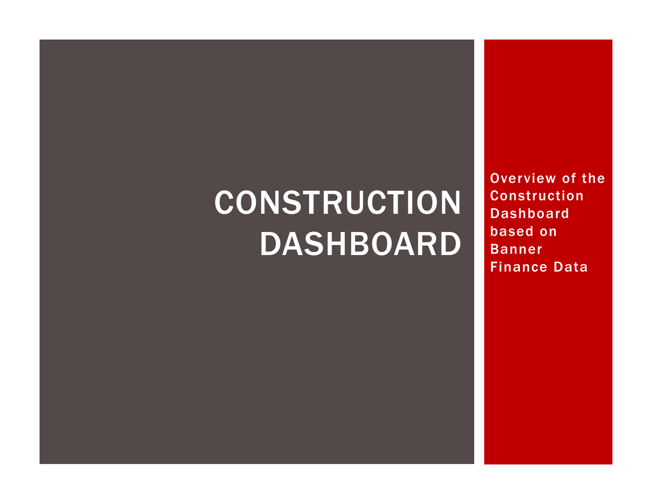# **CONSTRUCTION** DASHBOARD

Overview of the Construction Dashboard based on Banner Finance Data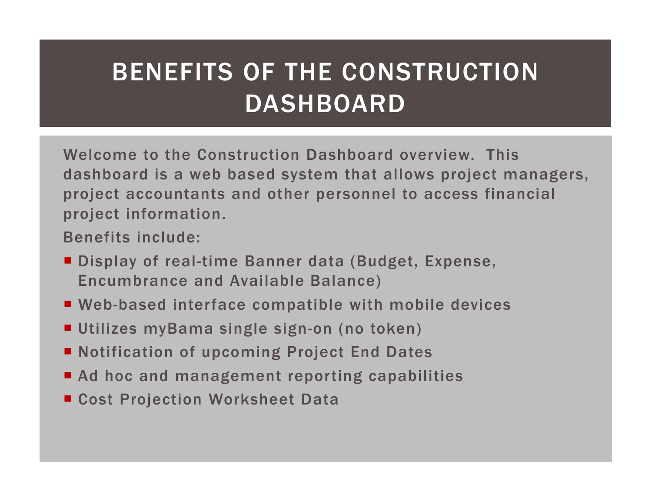## BENEFITS OF THE CONSTRUCTION DASHBOARD

Welcome to the Construction Dashboard overview. This dashboard is a web based system that allows project managers, project accountants and other personnel to access financial project information.

Benefits include:

- Display of real-time Banner data (Budget, Expense, Encumbrance and Available Balance)
- Web-based interface compatible with mobile devices
- Utilizes myBama single sign-on (no token)
- Notification of upcoming Project End Dates
- Ad hoc and management reporting capabilities
- Cost Projection Worksheet Data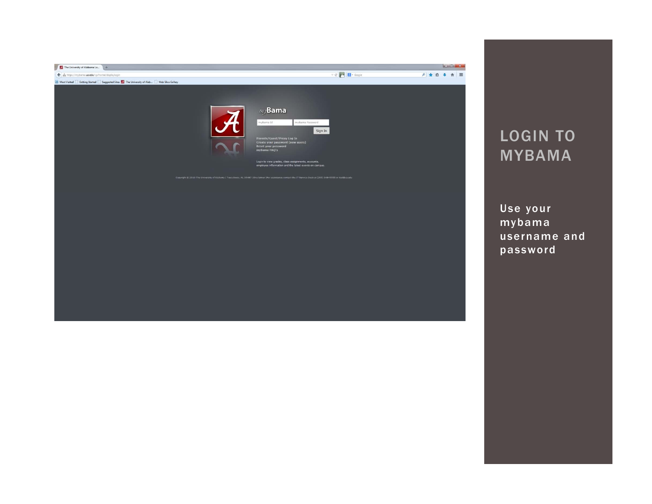

## LOGIN TO MYBAMA

Use your mybama username and password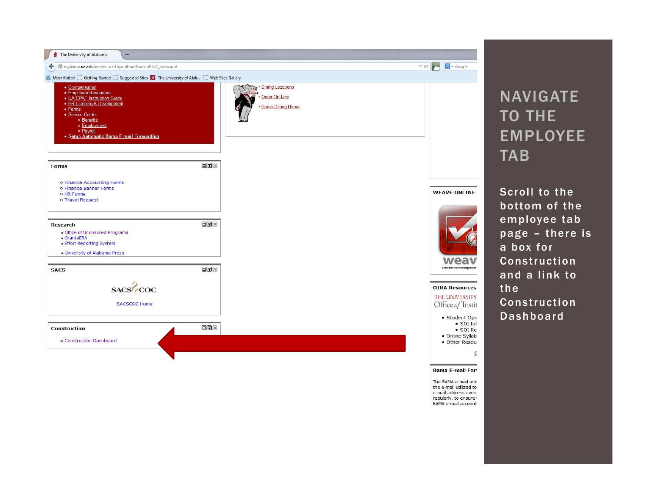

## NAVIGATE TO THE EMPLOYEE **TAB**

Scroll to the bottom of the employee tab page – there is a box for Construction and a link to the Construction Dashboard

The BAMA e-mail add the e-mail utilized to e-mail address even regularly, to ensure t BAMA e-mail account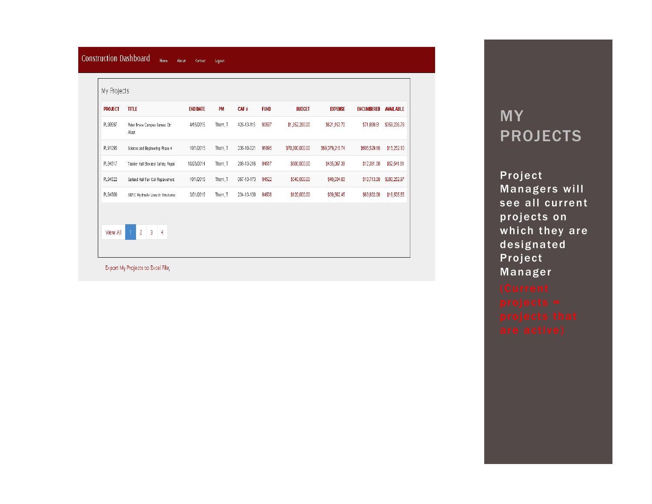| <b>PROJECT</b> | <b>TITLE</b>                           | <b>END DATE</b> | PM       | CAF#       | <b>FUND</b> | <b>BUDGET</b>   | <b>EXPENSE</b>  | <b>ENCUMBERED</b> | <b>AVAILABLE</b> |
|----------------|----------------------------------------|-----------------|----------|------------|-------------|-----------------|-----------------|-------------------|------------------|
| PL90597        | Peter Bryce Campus Barnes Ctr<br>Adapt | 4/15/2015       | Thorn, T | 426-13-115 | 90597       | \$1,052,280.00  | \$621,153.70    | \$71,889.51       | \$359,236.79     |
| PL91095        | Science and Engineering Phase 4        | 10/1/2015       | Thorn, T | 236-10-021 | 91095       | \$70,000,000.00 | \$69,379,218.74 | \$605,529.16      | \$15,252.10      |
| PL94517        | Tutwiler Hall Elevator Safety Repai    | 10/25/2014      | Thorn, T | 206-13-216 | 94517       | \$500,000.00    | \$435,067.39    | \$12,391.00       | \$52,541.61      |
| PL94522        | Garland Hall Fan Coil Replacement      | 10/1/2015       | Thorn, T | 067-13-173 | 94522       | \$340,000.00    | \$49,034.03     | \$10,713.00       | \$280,252.97     |
| PL94508        | SERC Hydraulic Lines in Structures     | 3/31/2015       | Thorn, T | 234-13-138 | 94508       | \$120,000.00    | \$39,562.45     | \$63,932.00       | \$16,505.55      |

## MY PROJECTS

Project Managers will see all current projects on which they are designated Project Manager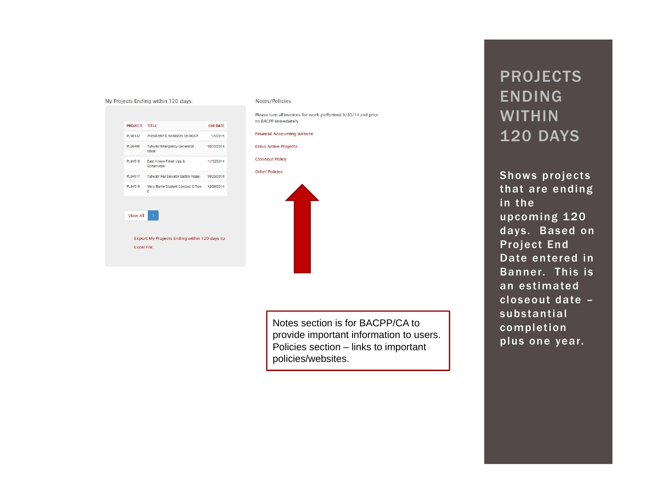| PRESIDENT'S MANSION RE-ROOF<br><b>Tutwiler Emergency Generator</b><br>Instal<br>East Annex Finish Upg &<br>Constructio<br>Tutwiler Hall Elevator Safety Repai<br>Mary Burke Student Conduct Office<br>E | PROJECT TITLE |                    | <b>END DATE</b> |
|---------------------------------------------------------------------------------------------------------------------------------------------------------------------------------------------------------|---------------|--------------------|-----------------|
| PL90400<br>PL94519<br>PL94517<br>PL94518                                                                                                                                                                | PL90132       |                    | 1/1/2015        |
|                                                                                                                                                                                                         |               |                    | 10/31/2014      |
|                                                                                                                                                                                                         |               |                    | 11/12/2014      |
|                                                                                                                                                                                                         |               |                    | 10/25/2014      |
|                                                                                                                                                                                                         |               |                    | 12/26/2014      |
| <b>View All</b>                                                                                                                                                                                         |               |                    |                 |
|                                                                                                                                                                                                         |               |                    |                 |
| Export My Projects Ending within 120 days to                                                                                                                                                            |               | <b>Excel File:</b> |                 |

My Projects Ending within 120 days:

#### Notes/Policies

Please turn all invoices for work performed 9/30/14 and prior to BACPP immediately.

**Financial Accounting Website** 

**Estus Active Projects** 

**Closeout Policy** 

**Other Policies** 



Notes section is for BACPP/CA to provide important information to users. Policies section – links to important policies/websites.

## PROJECTS ENDING WITHIN 120 DAYS

Shows projects that are ending in the upcoming 120 days. Based on Project End Date entered in Banner. This is an estimated closeout date –substantial completion plus one year.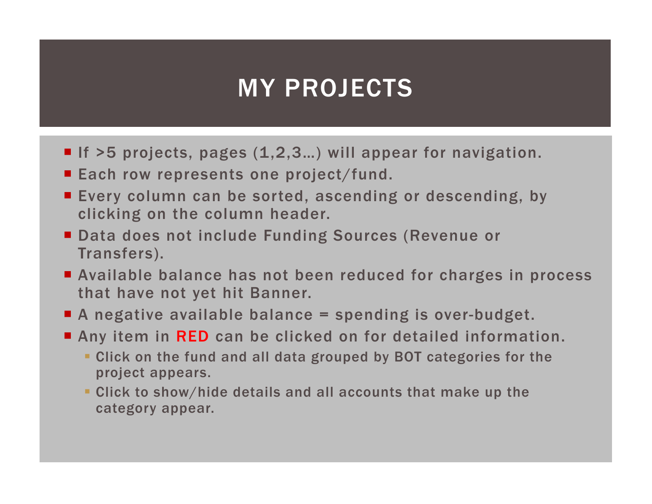## MY PROJECTS

- If >5 projects, pages (1,2,3...) will appear for navigation.
- Each row represents one project/fund.
- Every column can be sorted, ascending or descending, by clicking on the column header.
- Data does not include Funding Sources (Revenue or Transfers).
- Available balance has not been reduced for charges in process that have not yet hit Banner.
- A negative available balance = spending is over-budget.
- Any item in RED can be clicked on for detailed information.
	- Click on the fund and all data grouped by BOT categories for the project appears.
	- Click to show/hide details and all accounts that make up the category appear.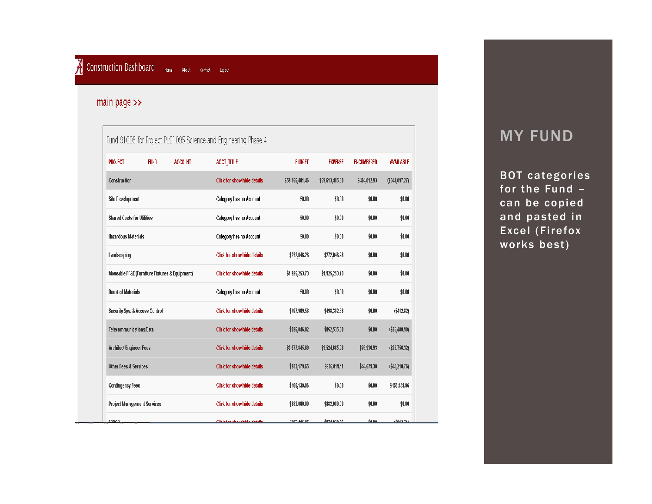#### main page  $>$

|                                                                 |                                                |                         | Fund 91095 for Project PL91095 Science and Engineering Phase 4 |                 |                    |                   |                  |
|-----------------------------------------------------------------|------------------------------------------------|-------------------------|----------------------------------------------------------------|-----------------|--------------------|-------------------|------------------|
| <b>PROJECT</b>                                                  | <b>FUND</b>                                    | <b>ACCOUNT</b>          | <b>ACCT_TITLE</b>                                              | <b>BUDGET</b>   | <b>EXPENSE</b>     | <b>ENCUMBERED</b> | <b>AVAILABLE</b> |
| Construction                                                    |                                                |                         | <b>Click for show/hide details</b>                             | \$59,756,401.46 | \$59,613,485.80    | \$484,012.93      | (\$341,097.27)   |
| <b>Site Development</b>                                         |                                                | Category has no Account | \$0.00                                                         | \$0.00          | \$0.00             | \$0.00            |                  |
| <b>Shared Costs for Utilities</b><br><b>Hazardous Materials</b> |                                                |                         | Category has no Account                                        | \$0.00          | \$0.00             | \$0.00            | \$0.00           |
|                                                                 |                                                |                         | Category has no Account                                        | \$0.00          | \$0.00             | \$0.00            | \$0.00           |
| Landscaping                                                     |                                                |                         | <b>Click for show/hide details</b>                             | \$272,046.28    | \$272,046.28       | \$0.00            | \$0.00           |
|                                                                 | Moveable FF&E (Furniture Fixtures & Equipment) |                         | <b>Click for show/hide details</b>                             | \$1,925,253.73  | \$1,925,253.73     | \$0.00            | \$0.00           |
| <b>Donated Materials</b>                                        |                                                |                         | Category has no Account                                        | \$0.00          | \$0.00             | \$0.00            | \$0.00           |
|                                                                 | Security Sys. & Access Control                 |                         | <b>Click for show/hide details</b>                             | \$497,969.56    | \$498,382.38       | \$0.00            | (\$412.82)       |
| Telecommunications/Data                                         |                                                |                         | <b>Click for show/hide details</b>                             | \$826,046.82    | \$852,535.80       | \$0.00            | (\$26,488.98)    |
| Architect/Engineer Fees                                         |                                                |                         | <b>Click for show/hide details</b>                             | \$3,577,845.69  | \$3,524,665.08     | \$76,936.93       | $(\$23,756.32)$  |
|                                                                 | <b>Other Fees &amp; Services</b>               |                         | <b>Click for show/hide details</b>                             | \$933,179.65    | \$936,819.11       | \$44,579.30       | (\$48,218.76)    |
| <b>Contingency Fees</b>                                         |                                                |                         | <b>Click for show/hide details</b>                             | \$456,139.96    | \$0.00             | \$0.00            | \$456,139.96     |
| <b>Project Management Services</b>                              |                                                |                         | <b>Click for show/hide details</b>                             | \$882,000.00    | \$882,000.00       | \$0.00            | \$0.00           |
| <b>EDDAD</b>                                                    |                                                |                         | Cliek for obombido dotailo                                     | 2072 AAC OF     | <b>¢074 020 £C</b> | <b>40.00</b>      | 74042.74V        |

## **MY FUND**

BOT categories for the Fund – can be copied and pasted in Excel (Firefox works best)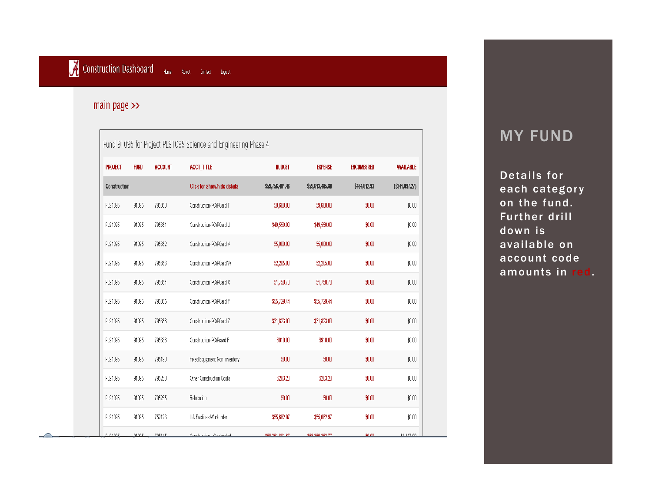#### main page  $\gg$

| <b>FUND</b><br><b>ACCOUNT</b><br><b>PROJECT</b><br>Construction |       | <b>ACCT_TITLE</b><br><b>BUDGET</b> |                                    | <b>EXPENSE</b>  | <b>ENCUMBERED</b> | <b>AVAILABLE</b> |                |
|-----------------------------------------------------------------|-------|------------------------------------|------------------------------------|-----------------|-------------------|------------------|----------------|
|                                                                 |       |                                    | <b>Click for show/hide details</b> | \$59,756,401.46 | \$59,613,485.80   | \$484,012.93     | (\$341,097.27) |
| PL91095                                                         | 91095 | 795350                             | Construction-PO/PCard T            | \$9,600.00      | \$9,600.00        | \$0.00           | \$0.00         |
| PL91095                                                         | 91095 | 795351                             | Construction-PO/PCard U            | \$49,550.00     | \$49,550.00       | \$0.00           | \$0.00         |
| PL91095                                                         | 91095 | 795352                             | Construction-PO/PCard V            | \$5,000.00      | \$5,000.00        | \$0.00           | \$0.00         |
| PL91095                                                         | 91095 | 795353                             | Construction-PO/PCard W            | \$2,205.00      | \$2,205.00        | \$0.00           | \$0.00         |
| PL91095                                                         | 91095 | 795354                             | Construction-PO/PCard X            | \$1,750.70      | \$1,750.70        | \$0.00           | \$0.00         |
| PL91095                                                         | 91095 | 795355                             | Construction-PO/PCard Y            | \$55,729.44     | \$55,729.44       | \$0.00           | \$0.00         |
| PL91095                                                         | 91095 | 795356                             | Construction-PO/PCard Z            | \$31,823.00     | \$31,823.00       | \$0.00           | \$0.00         |
| PL91095                                                         | 91095 | 795336                             | Construction-PO/Pcard F            | \$910.00        | \$910.00          | \$0.00           | \$0.00         |
| PL91095                                                         | 91095 | 795190                             | Fixed Equipment-Non-Inventory      | \$0.00          | \$0.00            | \$0.00           | \$0.00         |
| PL91095                                                         | 91095 | 795260                             | Other Construction Costs           | \$203.20        | \$203.20          | \$0.00           | \$0.00         |
| PL91095                                                         | 91095 | 795235                             | Relocation                         | \$0.00          | \$0.00            | \$0.00           | \$0.00         |
| PL91095                                                         | 91095 | 752123                             | UA Facilities Workorder            | \$55,682.97     | \$55,682.97       | \$0.00           | \$0.00         |
| 01.04005                                                        | 04005 | 7054.45                            | Conotruction Contractor            | 020 024 004 07  | 020 020 020 77    | 00.00.           | 04.447.00      |

### MY FUND

Details for each category on the fund. Further drill down is available on account code amounts in red.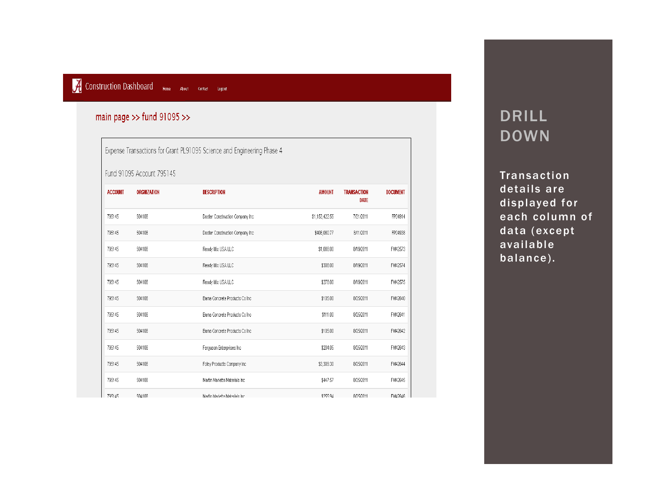### Construction Dashboard Home About contact Logout

#### main page >> fund  $91095$  >>

Expense Transactions for Grant PL91095 Science and Engineering Phase 4

#### Fund 91095 Account 795145

| <b>ACCOUNT</b> | <b>ORGNIZATION</b> | <b>DESCRIPTION</b>               | <b>AMOUNT</b>  | <b>TRANSACTION</b><br>DATE | <b>DOCUMENT</b> |
|----------------|--------------------|----------------------------------|----------------|----------------------------|-----------------|
| 795145         | 504108             | Doster Construction Company Inc. | \$1,153,422.55 | 7/21/2011                  | FP04914         |
| 795145         | 504108             | Doster Construction Company Inc. | \$408,080.77   | 8/11/2011                  | FP04938         |
| 795145         | 504108             | Ready Mix USA LLC                | \$1,088.00     | 8/19/2011                  | FM42573         |
| 795145         | 504108             | Ready Mix USA LLC                | \$308.00       | 8/19/2011                  | FM42574         |
| 795145         | 504108             | Ready Mix USA LLC                | \$278.00       | 8/19/2011                  | FM42575         |
| 795145         | 504108             | Barna Concrete Products Co Inc.  | \$105.00       | 8/25/2011                  | FM42640         |
| 795145         | 504108             | Barna Concrete Products Co Inc.  | \$111.00       | 8/25/2011                  | FM42641         |
| 795145         | 504108             | Barna Concrete Products Co Inc.  | \$105.00       | 8/25/2011                  | FM42642         |
| 795145         | 504108             | Ferguson Enterprises Inc.        | \$204.05       | 8/25/2011                  | FM42643         |
| 795145         | 504108             | Foley Products Company Inc.      | \$3,309.30     | 8/25/2011                  | FM42644         |
| 795145         | 504108             | Martin Marietta Materials Inc.   | \$447.57       | 8/25/2011                  | FM42645         |
| 795145         | 504108             | Martin Marietta Materials Inc.   | \$255.94       | 8/25/2011                  | FM42646         |

## DRILL DOWN

Transaction details are displayed for each column of data (except available balance).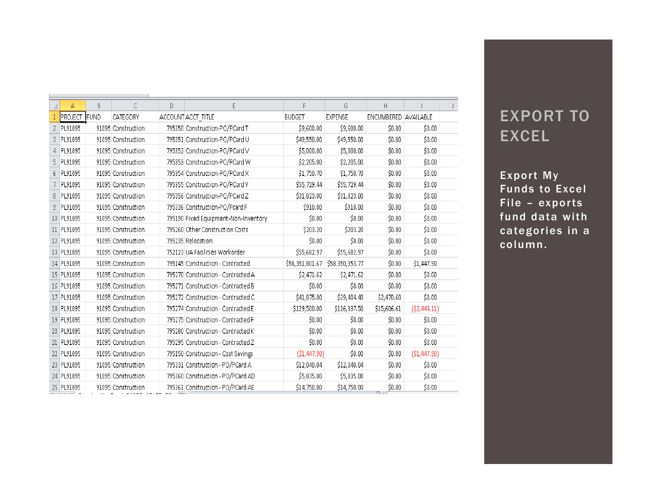|   | А          | B            | C                  | D | E                                    | F               | G.              | Н                    |               | J. |
|---|------------|--------------|--------------------|---|--------------------------------------|-----------------|-----------------|----------------------|---------------|----|
|   | PROJECT    | <b>IFUND</b> | CATEGORY           |   | ACCOUNT ACCT TITLE                   | <b>BUDGET</b>   | <b>EXPENSE</b>  | ENCUMBERED AVAILABLE |               |    |
| 2 | PL91095    |              | 91095 Construction |   | 795350 Construction-PO/PCard T       | \$9,600.00      | \$9,600.00      | \$0.00               | \$0.00        |    |
| 3 | PL91095    |              | 91095 Construction |   | 795351 Construction-PO/PCard U       | \$49,550.00     | \$49,550.00     | \$0.00               | \$0.00        |    |
| 4 | PL91095    |              | 91095 Construction |   | 795352 Construction-PO/PCard V       | \$5,000.00      | \$5,000.00      | \$0.00               | \$0.00        |    |
| 5 | PL91095    |              | 91095 Construction |   | 795353 Construction-PO/PCard W       | \$2,205.00      | \$2,205.00      | \$0.00               | \$0.00        |    |
| 6 | PL91095    |              | 91095 Construction |   | 795354 Construction-PO/PCard X       | \$1,750.70      | \$1,750.70      | \$0.00               | \$0.00        |    |
|   | PL91095    |              | 91095 Construction |   | 795355 Construction-PO/PCard Y       | \$55,729.44     | \$55,729.44     | \$0.00               | \$0.00        |    |
| 8 | PL91095    |              | 91095 Construction |   | 795356 Construction-PO/PCard Z       | \$31,823.00     | \$31,823.00     | \$0.00               | \$0.00        |    |
| 9 | PL91095    |              | 91095 Construction |   | 795336 Construction-PO/Pcard F       | \$910.00        | \$910.00        | \$0.00               | \$0.00        |    |
|   | 10 PL91095 |              | 91095 Construction |   | 795190 Fixed Equipment-Non-Inventory | \$0.00          | \$0.00          | \$0.00               | \$0.00        |    |
|   | 11 PL91095 |              | 91095 Construction |   | 795260 Other Construction Costs      | \$203.20        | \$203.20        | \$0.00               | \$0.00        |    |
|   | 12 PL91095 |              | 91095 Construction |   | 795235 Relocation                    | \$0.00          | \$0.00          | \$0.00               | \$0.00        |    |
|   | 13 PL91095 |              | 91095 Construction |   | 752123 UA Facilities Workorder       | \$55,682.97     | \$55,682.97     | \$0.00               | \$0.00        |    |
|   | 14 PL91095 |              | 91095 Construction |   | 795145 Construction - Contracted     | \$58,351,801.67 | \$58,350,353.77 | \$0.00               | \$1,447.90    |    |
|   | 15 PL91095 |              | 91095 Construction |   | 795270 Construction - Contracted A   | \$2,471.62      | \$2,471.62      | \$0.00               | \$0.00        |    |
|   | 16 PL91095 |              | 91095 Construction |   | 795271 Construction - Contracted B   | \$0.00          | \$0.00          | \$0.00               | \$0.00        |    |
|   | 17 PL91095 |              | 91095 Construction |   | 795272 Construction - Contracted C   | \$41,875.00     | \$39,404.40     | \$2,470.60           | \$0.00        |    |
|   | 18 PL91095 |              | 91095 Construction |   | 795274 Construction - Contracted E   | \$129,500.00    | \$116,337.50    | \$15,606.61          | ( \$2,444.11) |    |
|   | 19 PL91095 |              | 91095 Construction |   | 795275 Construction - Contracted F   | \$0,00          | \$0.00          | \$0.00               | \$0.00        |    |
|   | 20 PL91095 |              | 91095 Construction |   | 795280 Construction - Contracted K   | \$0.00          | \$0.00          | \$0.00               | \$0.00        |    |
|   | 21 PL91095 |              | 91095 Construction |   | 795295 Construction - Contracted Z   | \$0.00          | \$0.00          | \$0.00               | \$0.00        |    |
|   | 22 PL91095 |              | 91095 Construction |   | 795150 Construction - Cost Savings   | ( \$1,447.90)   | \$0.00          | \$0.00               | ( \$1,447.90) |    |
|   | 23 PL91095 |              | 91095 Construction |   | 795331 Construction - PO/PCard A     | \$12,040.04     | \$12,040.04     | \$0.00               | \$0.00        |    |
|   | 24 PL91095 |              | 91095 Construction |   | 795360 Construction - PO/PCard AD    | \$5,835.00      | \$5,835.00      | \$0.00               | \$0.00        |    |
|   | 25 PL91095 |              | 91095 Construction |   | 795361 Construction - PO/PCard AE    | \$14,750.00     | \$14,750.00     | \$0.00               | \$0.00        |    |

## EXPORT TO EXCEL

Export My Funds to Excel File – exports fund data with categories in a column.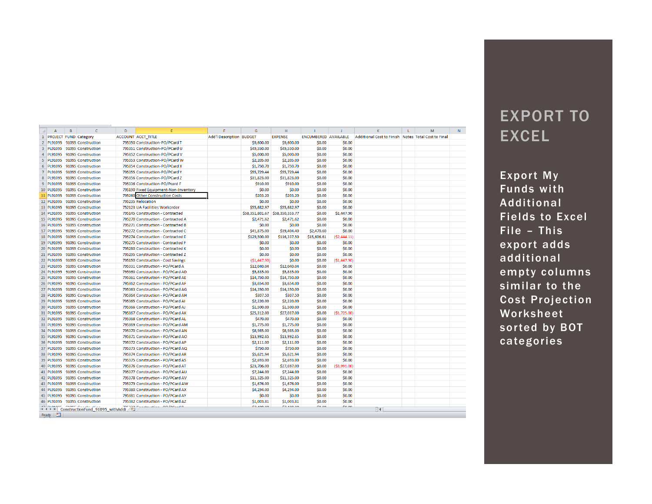|                | $\overline{A}$               | B | $\mathsf{C}$                                 | D | F                                    | F                               | G               | H                                          | $\mathbf{L}$         | $\mathbf{I}$  | K.                                                  | $\mathbf{L}$ | M | N |
|----------------|------------------------------|---|----------------------------------------------|---|--------------------------------------|---------------------------------|-----------------|--------------------------------------------|----------------------|---------------|-----------------------------------------------------|--------------|---|---|
| 1              | <b>PROJECT FUND Category</b> |   |                                              |   | <b>ACCOUNT ACCT TITLE</b>            | <b>Add'l Description BUDGET</b> |                 | <b>EXPENSE</b>                             | ENCUMBERED AVAILABLE |               | Additional Cost to Finish Notes Total Cost to Final |              |   |   |
| $\overline{2}$ | PL91095                      |   | 91095 Construction                           |   | 795350 Construction-PO/PCard T       |                                 | \$9,600.00      | \$9,600.00                                 | \$0.00               | \$0.00        |                                                     |              |   |   |
| $\overline{3}$ | <b>PL91095</b>               |   | 91095 Construction                           |   | 795351 Construction-PO/PCard U       |                                 | \$49,550.00     | \$49,550.00                                | \$0.00               | \$0.00        |                                                     |              |   |   |
| $\overline{4}$ | <b>PL91095</b>               |   | 91095 Construction                           |   | 795352 Construction-PO/PCard V       |                                 | \$5,000.00      | \$5,000.00                                 | \$0.00               | \$0.00        |                                                     |              |   |   |
| 5              | PL91095                      |   | 91095 Construction                           |   | 795353 Construction-PO/PCard W       |                                 | \$2,205.00      | \$2,205.00                                 | \$0.00               | \$0.00        |                                                     |              |   |   |
| 6              | PL91095                      |   | 91095 Construction                           |   | 795354 Construction-PO/PCard X       |                                 | \$1,750.70      | \$1,750.70                                 | \$0.00               | \$0.00        |                                                     |              |   |   |
| $\overline{7}$ | <b>PL91095</b>               |   | 91095 Construction                           |   | 795355 Construction-PO/PCard Y       |                                 | \$55,729.44     | \$55,729.44                                | \$0.00               | \$0.00        |                                                     |              |   |   |
| 8              | <b>PL91095</b>               |   | 91095 Construction                           |   | 795356 Construction-PO/PCard Z       |                                 | \$31,823.00     | \$31,823.00                                | \$0.00               | \$0.00        |                                                     |              |   |   |
| 9              | <b>PL91095</b>               |   | 91095 Construction                           |   | 795336 Construction-PO/Pcard F       |                                 | \$910.00        | \$910.00                                   | \$0.00               | \$0.00        |                                                     |              |   |   |
|                | 10 PL91095                   |   | 91095 Construction                           |   | 795190 Fixed Equipment-Non-Inventory |                                 | \$0.00          | \$0.00                                     | \$0.00               | \$0.00        |                                                     |              |   |   |
| 11             | PL91095                      |   | 91095 Construction                           |   | 795260 Other Construction Costs      |                                 | \$203.20        | \$203.20                                   | \$0.00               | \$0.00        |                                                     |              |   |   |
|                | 12 PL91095                   |   | 91095 Construction                           |   | 795235 Relocation                    |                                 | \$0.00          | \$0.00                                     | \$0.00               | \$0.00        |                                                     |              |   |   |
|                | 13 PL91095                   |   | 91095 Construction                           |   | 752123 UA Facilities Workorder       |                                 | \$55,682.97     | \$55,682.97                                | \$0.00               | \$0.00        |                                                     |              |   |   |
|                | 14 PL91095                   |   | 91095 Construction                           |   | 795145 Construction - Contracted     |                                 | \$58,351,801.67 | \$58,350,353.77                            | \$0.00               | \$1,447.90    |                                                     |              |   |   |
|                | 15 PL91095                   |   | 91095 Construction                           |   | 795270 Construction - Contracted A   |                                 | \$2,471.62      | \$2,471.62                                 | \$0.00               | \$0.00        |                                                     |              |   |   |
|                | 16 PL91095                   |   | 91095 Construction                           |   | 795271 Construction - Contracted B   |                                 | \$0.00          | \$0.00                                     | \$0.00               | \$0.00        |                                                     |              |   |   |
|                | 17 PL91095                   |   | 91095 Construction                           |   | 795272 Construction - Contracted C   |                                 | \$41,875.00     | \$39,404.40                                | \$2,470.60           | \$0.00        |                                                     |              |   |   |
|                | 18 PL91095                   |   | 91095 Construction                           |   | 795274 Construction - Contracted E   |                                 | \$129,500.00    | \$116,337.50                               | \$15,606.61          | ( \$2,444.11) |                                                     |              |   |   |
|                | 19 PL91095                   |   | 91095 Construction                           |   | 795275 Construction - Contracted F   |                                 | \$0.00          | \$0.00                                     | \$0.00               | \$0.00        |                                                     |              |   |   |
|                | 20 PL91095                   |   | 91095 Construction                           |   | 795280 Construction - Contracted K   |                                 | \$0.00          | \$0.00                                     | \$0.00               | \$0.00        |                                                     |              |   |   |
|                | 21 PL91095                   |   | 91095 Construction                           |   | 795295 Construction - Contracted Z   |                                 | \$0.00          | \$0.00                                     | \$0.00               | \$0.00        |                                                     |              |   |   |
|                | 22 PL91095                   |   | 91095 Construction                           |   | 795150 Construction - Cost Savings   |                                 | (S1, 447.90)    | \$0.00                                     | \$0.00               | (S1, 447.90)  |                                                     |              |   |   |
|                | 23 PL91095                   |   | 91095 Construction                           |   | 795331 Construction - PO/PCard A     |                                 | \$12,040.04     | \$12,040.04                                | \$0.00               | \$0.00        |                                                     |              |   |   |
|                | 24 PL91095                   |   | 91095 Construction                           |   | 795360 Construction - PO/PCard AD    |                                 | \$5,835.00      | \$5,835.00                                 | \$0.00               | \$0.00        |                                                     |              |   |   |
|                | 25 PL91095                   |   | 91095 Construction                           |   | 795361 Construction - PO/PCard AE    |                                 | \$14,750.00     | \$14,750.00                                | \$0.00               | \$0.00        |                                                     |              |   |   |
|                | 26 PL91095                   |   | 91095 Construction                           |   | 795362 Construction - PO/PCard AF    |                                 | \$3,654.00      | \$3,654.00                                 | \$0.00               | \$0.00        |                                                     |              |   |   |
|                | 27 PL91095                   |   | 91095 Construction                           |   | 795363 Construction - PO/PCard AG    |                                 | \$14,350.00     | \$14,350.00                                | \$0.00               | \$0.00        |                                                     |              |   |   |
|                | 28 PL91095                   |   | 91095 Construction                           |   | 795364 Construction - PO/PCard AH    |                                 | \$307.50        | \$307.50                                   | \$0.00               | \$0.00        |                                                     |              |   |   |
|                | 29 PL91095                   |   | 91095 Construction                           |   | 795365 Construction - PO/PCard AI    |                                 | \$2,220.00      | \$2,220.00                                 | \$0.00               | \$0.00        |                                                     |              |   |   |
|                | 30 PL91095                   |   | 91095 Construction                           |   | 795366 Construction - PO/PCard AJ    |                                 | \$1,500.00      | \$1,500.00                                 | \$0.00               | \$0.00        |                                                     |              |   |   |
|                | 31 PL91095                   |   | 91095 Construction                           |   | 795367 Construction - PO/PCard AK    |                                 | \$25,312.00     | \$27,037.00                                | \$0.00               | ( \$1,725.00] |                                                     |              |   |   |
|                | 32 PL91095                   |   | 91095 Construction                           |   | 795368 Construction - PO/PCard AL    |                                 | \$470.00        | \$470.00                                   | \$0.00               | \$0.00        |                                                     |              |   |   |
|                | 33 PL91095                   |   | 91095 Construction                           |   | 795369 Construction - PO/PCard AM    |                                 | \$1,775.00      | \$1,775.00                                 | \$0.00               | \$0.00        |                                                     |              |   |   |
|                | 34 PL91095                   |   | 91095 Construction                           |   | 795370 Construction - PO/PCard AN    |                                 | \$8,985.00      | \$8,985.00                                 | \$0.00               | \$0.00        |                                                     |              |   |   |
|                | 35 PL91095                   |   | 91095 Construction                           |   | 795371 Construction - PO/PCard AO    |                                 | \$13,992.65     | \$13,992.65                                | \$0.00               | \$0.00        |                                                     |              |   |   |
|                | 36 PL91095                   |   | 91095 Construction                           |   | 795372 Construction - PO/PCard AP    |                                 | \$2,111.00      | \$2,111.00                                 | \$0.00               | \$0.00        |                                                     |              |   |   |
|                | 37 PL91095                   |   | 91095 Construction                           |   | 795373 Construction - PO/PCard AQ    |                                 | \$750.00        | \$750.00                                   | \$0.00               | \$0.00        |                                                     |              |   |   |
|                | 38 PL91095                   |   | 91095 Construction                           |   | 795374 Construction - PO/PCard AR    |                                 | \$5,621.94      | \$5,621.94                                 | \$0.00               | \$0.00        |                                                     |              |   |   |
|                | 39 PL91095                   |   | 91095 Construction                           |   | 795375 Construction - PO/PCard AS    |                                 | \$2,693.00      | \$2,693.00                                 | \$0.00               | \$0.00        |                                                     |              |   |   |
|                | 40 PL91095                   |   | 91095 Construction                           |   | 795376 Construction - PO/PCard AT    |                                 | \$23,706.00     | \$27,697.00                                | \$0.00               | ( \$3,991.00] |                                                     |              |   |   |
|                | 41 PL91095                   |   | 91095 Construction                           |   | 795377 Construction - PO/PCard AU    |                                 | \$7,244.00      | \$7,244.00                                 | \$0.00               | \$0.00        |                                                     |              |   |   |
|                | 42 PL91095                   |   | 91095 Construction                           |   | 795378 Construction - PO/PCard AV    |                                 | \$11,325.00     | \$11,325.00                                | \$0.00               | \$0.00        |                                                     |              |   |   |
|                | 43 PL91095                   |   | 91095 Construction                           |   | 795379 Construction - PO/PCard AW    |                                 | \$1,676.00      | \$1,676.00                                 | \$0.00               | \$0.00        |                                                     |              |   |   |
|                | 44 PL91095                   |   | 91095 Construction                           |   | 795380 Construction - PO/PCard AX    |                                 | \$4,294.00      | \$4,294.00                                 | \$0.00               | \$0.00        |                                                     |              |   |   |
|                | 45 PL91095                   |   | 91095 Construction                           |   | 795381 Construction - PO/PCard AY    |                                 | \$0.00          | \$0.00                                     | \$0.00               | \$0.00        |                                                     |              |   |   |
|                | 46 PL91095                   |   | 91095 Construction                           |   | 795382 Construction - PO/PCard AZ    |                                 | \$1,003.81      | S1,003.81                                  | \$0.00               | \$0.00        |                                                     |              |   |   |
|                |                              |   | H (→ → H ConstructionFund_91095_withAddi → 2 |   | والمتمطامون متعبستمنية فوو           |                                 | AT ADD OD       | $A = \text{A} \cap \text{A} \cap \text{A}$ | do oo                | én nn         | ∏◀                                                  |              |   |   |
|                | Ready <b>P</b>               |   |                                              |   |                                      |                                 |                 |                                            |                      |               |                                                     |              |   |   |

## EXPORT TO EXCEL

Export My Funds with Additional Fields to Excel File – This export adds additional empty columns similar to the Cost Projection Worksheet sorted by BOT categories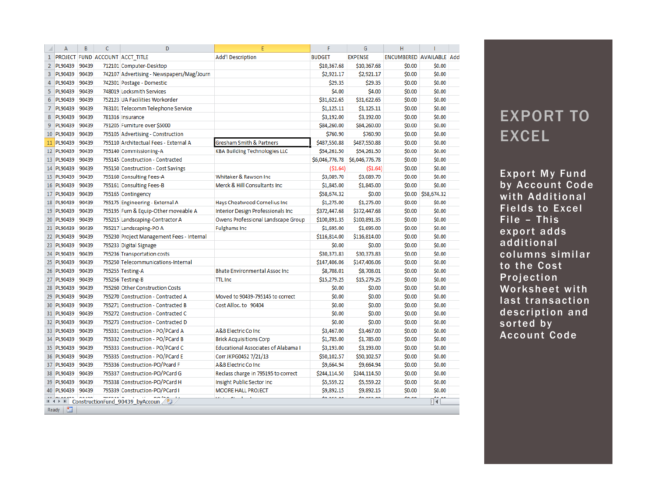|                | A              | B     | $\mathsf{C}$ | D                                         | E                                          | F              | G              | Ĥ                        |             |  |
|----------------|----------------|-------|--------------|-------------------------------------------|--------------------------------------------|----------------|----------------|--------------------------|-------------|--|
| $\mathbf{1}$   |                |       |              | PROJECT FUND ACCOUNT ACCT TITLE           | <b>Add'l Description</b>                   | <b>BUDGET</b>  | <b>EXPENSE</b> | ENCUMBERED AVAILABLE Add |             |  |
| $\overline{2}$ | PL90439        | 90439 |              | 712101 Computer-Desktop                   |                                            | \$10,367.68    | \$10,367.68    | \$0.00                   | \$0.00      |  |
| 3              | PL90439        | 90439 |              | 742107 Advertising - Newspapers/Mag/Journ |                                            | \$2,921.17     | \$2,921.17     | \$0.00                   | \$0.00      |  |
| 4              | PL90439        | 90439 |              | 742301 Postage - Domestic                 |                                            | \$29.35        | \$29.35        | \$0.00                   | \$0.00      |  |
| 5              | PL90439        | 90439 |              | 748019 Locksmith Services                 |                                            | \$4.00         | \$4.00         | \$0.00                   | \$0.00      |  |
| 6              | PL90439        | 90439 |              | 752123 UA Facilities Workorder            |                                            | \$31,622.65    | \$31,622.65    | \$0.00                   | \$0.00      |  |
| $\overline{7}$ | PL90439        | 90439 |              | 763101 Telecomm Telephone Service         |                                            | \$1,125.11     | \$1,125.11     | \$0.00                   | \$0.00      |  |
| 8              | PL90439        | 90439 |              | 781316 Insurance                          |                                            | \$3,192.00     | \$3,192.00     | \$0.00                   | \$0.00      |  |
| 9              | PL90439        | 90439 |              | 791205 Furniture over \$5000              |                                            | \$84,260.00    | \$84,260.00    | \$0.00                   | \$0.00      |  |
|                | 10 PL90439     | 90439 |              | 795105 Advertising - Construction         |                                            | \$760.90       | \$760.90       | \$0.00                   | \$0.00      |  |
|                | 11 PL90439     | 90439 |              | 795110 Architectual Fees - External A     | <b>Gresham Smith &amp; Partners</b>        | \$487,550.88   | \$487,550.88   | \$0.00                   | \$0.00      |  |
|                | 12 PL90439     | 90439 |              | 795140 Commissioning-A                    | <b>KBA Building Technologies LLC</b>       | \$54,261.50    | \$54,261.50    | \$0.00                   | \$0.00      |  |
|                | 13 PL90439     | 90439 |              | 795145 Construction - Contracted          |                                            | \$6,046,776.78 | \$6,046,776.78 | \$0.00                   | \$0.00      |  |
|                | 14 PL90439     | 90439 |              | 795150 Construction - Cost Savings        |                                            | (S1.64)        | ( \$1.64)      | \$0.00                   | \$0.00      |  |
|                | 15 PL90439     | 90439 |              | 795160 Consulting Fees-A                  | Whitaker & Rawson Inc.                     | \$3,089.70     | \$3,089.70     | \$0.00                   | \$0.00      |  |
|                | 16 PL90439     | 90439 |              | 795161 Consulting Fees-B                  | Merck & Hill Consultants Inc.              | \$1,845.00     | \$1,845.00     | \$0.00                   | \$0.00      |  |
|                | 17 PL90439     | 90439 |              | 795165 Contingency                        |                                            | \$58,674.32    | \$0.00         | \$0.00                   | \$58,674.32 |  |
|                | 18 PL90439     | 90439 |              | 795175 Engineering - External A           | Hays Cheatwood Cornelius Inc               | \$1,275.00     | \$1,275.00     | \$0.00                   | \$0.00      |  |
|                | 19 PL90439     | 90439 |              | 795195 Furn & Equip-Other moveable A      | <b>Interior Design Professionals Inc</b>   | \$372,447.68   | \$372,447.68   | \$0.00                   | \$0.00      |  |
|                | 20 PL90439     | 90439 |              | 795215 Landscaping-Contractor A           | Owens Professional Landscape Group         | \$100,891.35   | \$100,891.35   | \$0.00                   | \$0.00      |  |
|                | 21 PL90439     | 90439 |              | 795217 Landscaping-PO A                   | <b>Fulghams Inc</b>                        | \$1,695.00     | \$1,695.00     | \$0.00                   | \$0.00      |  |
|                | 22 PL90439     | 90439 |              | 795230 Project Management Fees - Internal |                                            | \$116,814.00   | \$116,814.00   | \$0.00                   | \$0.00      |  |
|                | 23 PL90439     | 90439 |              | 795233 Digital Signage                    |                                            | \$0.00         | \$0.00         | \$0.00                   | \$0.00      |  |
|                | 24 PL90439     | 90439 |              | 795236 Transportation costs               |                                            | \$30,373.83    | \$30,373.83    | \$0.00                   | \$0.00      |  |
|                | 25 PL90439     | 90439 |              | 795250 Telecommunications-Internal        |                                            | \$147,406.06   | \$147,406.06   | \$0.00                   | \$0.00      |  |
|                | 26 PL90439     | 90439 |              | 795255 Testing-A                          | <b>Bhate Environmental Assoc Inc.</b>      | \$8,708.01     | \$8,708.01     | \$0.00                   | \$0.00      |  |
|                | 27 PL90439     | 90439 |              | 795256 Testing-B                          | <b>TTL</b> Inc                             | \$15,279.25    | \$15,279.25    | \$0.00                   | \$0.00      |  |
|                | 28 PL90439     | 90439 |              | 795260 Other Construction Costs           |                                            | \$0.00         | \$0.00         | \$0.00                   | \$0.00      |  |
| 29             | <b>PL90439</b> | 90439 |              | 795270 Construction - Contracted A        | Moved to 90439-795145 to correct           | \$0.00         | \$0.00         | \$0.00                   | \$0.00      |  |
|                | 30 PL90439     | 90439 |              | 795271 Construction - Contracted B        | Cost Alloc. to 90404                       | \$0.00         | \$0.00         | \$0.00                   | \$0.00      |  |
|                | 31 PL90439     | 90439 |              | 795272 Construction - Contracted C        |                                            | \$0.00         | \$0.00         | \$0.00                   | \$0.00      |  |
|                | 32 PL90439     | 90439 |              | 795273 Construction - Contracted D        |                                            | \$0.00         | \$0.00         | \$0.00                   | \$0.00      |  |
|                | 33 PL90439     | 90439 |              | 795331 Construction - PO/PCard A          | A&B Electric Co Inc.                       | \$3,467.00     | \$3,467.00     | \$0.00                   | \$0.00      |  |
|                | 34 PL90439     | 90439 |              | 795332 Construction - PO/PCard B          | <b>Brick Acquisitions Corp</b>             | \$1,785.00     | \$1,785.00     | \$0.00                   | \$0.00      |  |
|                | 35 PL90439     | 90439 |              | 795333 Construction - PO/PCard C          | <b>Educational Associates of Alabama I</b> | \$3,193.00     | \$3,193.00     | \$0.00                   | \$0.00      |  |
|                | 36 PL90439     | 90439 |              | 795335 Construction - PO/PCard E          | Corr JKPG0452 7/21/13                      | \$50,102.57    | \$50,102.57    | \$0.00                   | \$0.00      |  |
|                | 37 PL90439     | 90439 |              | 795336 Construction-PO/Pcard F            | A&B Electric Co Inc                        | \$9,664.94     | \$9,664.94     | \$0.00                   | \$0.00      |  |
|                | 38 PL90439     | 90439 |              | 795337 Construction-PO/PCard G            | Reclass charge in 795195 to correct        | \$244,114.50   | \$244,114.50   | \$0.00                   | \$0.00      |  |
|                | 39 PL90439     | 90439 |              | 795338 Construction-PO/PCard H            | Insight Public Sector Inc                  | \$5,559.22     | \$5,559.22     | \$0.00                   | \$0.00      |  |
|                | 40 PL90439     | 90439 |              | 795339 Construction-PO/PCard I            | <b>MOORE HALL PROJECT</b>                  | \$9,892.15     | \$9,892.15     | \$0.00                   | \$0.00      |  |
|                |                |       |              | H (→ → H ConstructionFund 90439 byAccoun  | <b>Contractor</b> Contractor               | do oro oo      | An ara on      | $A - A$                  | 而第          |  |
|                | 国<br>Ready     |       |              |                                           |                                            |                |                |                          |             |  |

## EXPORT TO EXCEL

Export My Fund by Account Code with Additional Fields to Excel File – This export adds additional columns similar to the Cost Projection Worksheet with last transaction description and sorted by Account Code